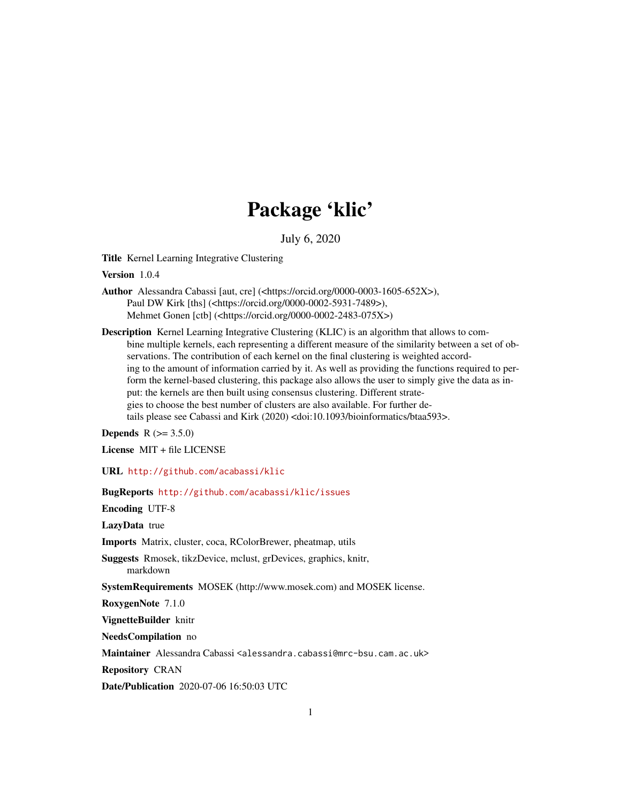## Package 'klic'

July 6, 2020

Title Kernel Learning Integrative Clustering

Version 1.0.4

Author Alessandra Cabassi [aut, cre] (<https://orcid.org/0000-0003-1605-652X>), Paul DW Kirk [ths] (<https://orcid.org/0000-0002-5931-7489>), Mehmet Gonen [ctb] (<https://orcid.org/0000-0002-2483-075X>)

Description Kernel Learning Integrative Clustering (KLIC) is an algorithm that allows to combine multiple kernels, each representing a different measure of the similarity between a set of observations. The contribution of each kernel on the final clustering is weighted according to the amount of information carried by it. As well as providing the functions required to perform the kernel-based clustering, this package also allows the user to simply give the data as input: the kernels are then built using consensus clustering. Different strategies to choose the best number of clusters are also available. For further details please see Cabassi and Kirk (2020) <doi:10.1093/bioinformatics/btaa593>.

**Depends**  $R (= 3.5.0)$ 

License MIT + file LICENSE

URL <http://github.com/acabassi/klic>

BugReports <http://github.com/acabassi/klic/issues>

Encoding UTF-8

LazyData true

Imports Matrix, cluster, coca, RColorBrewer, pheatmap, utils

Suggests Rmosek, tikzDevice, mclust, grDevices, graphics, knitr, markdown

SystemRequirements MOSEK (http://www.mosek.com) and MOSEK license.

RoxygenNote 7.1.0

VignetteBuilder knitr

NeedsCompilation no

Maintainer Alessandra Cabassi <alessandra.cabassi@mrc-bsu.cam.ac.uk>

Repository CRAN

Date/Publication 2020-07-06 16:50:03 UTC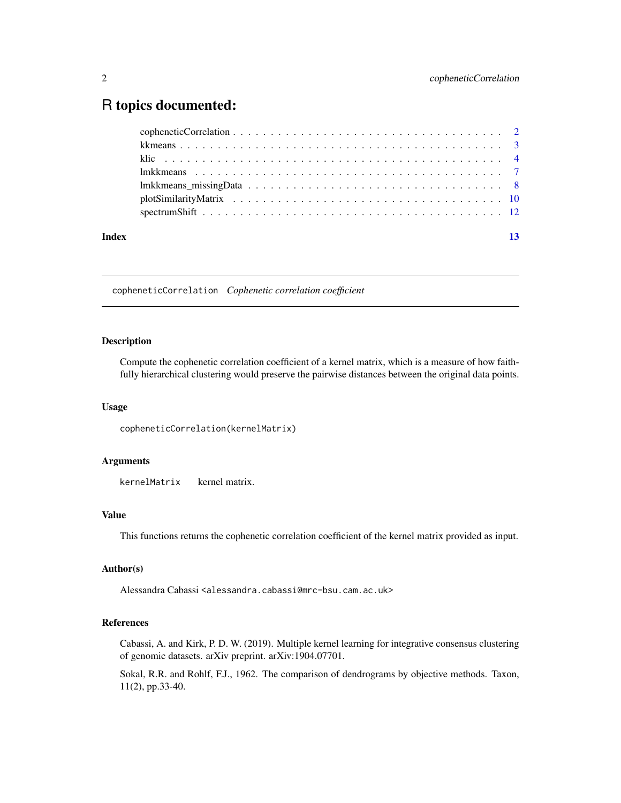### <span id="page-1-0"></span>R topics documented:

| Index | 13 |
|-------|----|
|       |    |
|       |    |
|       |    |
|       |    |
|       |    |
|       |    |
|       |    |

copheneticCorrelation *Cophenetic correlation coefficient*

#### Description

Compute the cophenetic correlation coefficient of a kernel matrix, which is a measure of how faithfully hierarchical clustering would preserve the pairwise distances between the original data points.

#### Usage

```
copheneticCorrelation(kernelMatrix)
```
#### Arguments

kernelMatrix kernel matrix.

#### Value

This functions returns the cophenetic correlation coefficient of the kernel matrix provided as input.

#### Author(s)

Alessandra Cabassi <alessandra.cabassi@mrc-bsu.cam.ac.uk>

#### References

Cabassi, A. and Kirk, P. D. W. (2019). Multiple kernel learning for integrative consensus clustering of genomic datasets. arXiv preprint. arXiv:1904.07701.

Sokal, R.R. and Rohlf, F.J., 1962. The comparison of dendrograms by objective methods. Taxon, 11(2), pp.33-40.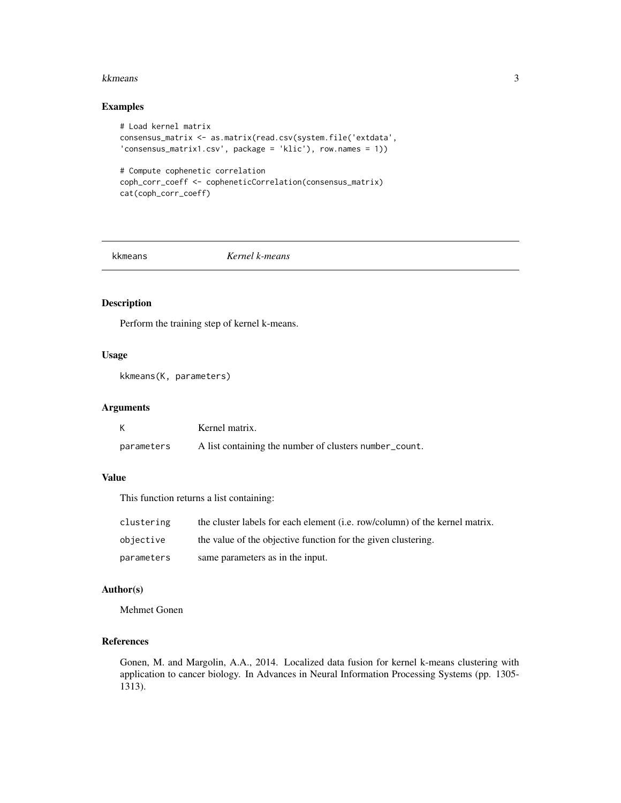#### <span id="page-2-0"></span>kkmeans 3

#### Examples

```
# Load kernel matrix
consensus_matrix <- as.matrix(read.csv(system.file('extdata',
'consensus_matrix1.csv', package = 'klic'), row.names = 1))
# Compute cophenetic correlation
coph_corr_coeff <- copheneticCorrelation(consensus_matrix)
cat(coph_corr_coeff)
```
#### kkmeans *Kernel k-means*

#### Description

Perform the training step of kernel k-means.

#### Usage

kkmeans(K, parameters)

#### Arguments

|            | Kernel matrix.                                         |
|------------|--------------------------------------------------------|
| parameters | A list containing the number of clusters number_count. |

#### Value

This function returns a list containing:

| clustering | the cluster labels for each element ( <i>i.e.</i> row/column) of the kernel matrix. |
|------------|-------------------------------------------------------------------------------------|
| objective  | the value of the objective function for the given clustering.                       |
| parameters | same parameters as in the input.                                                    |

#### Author(s)

Mehmet Gonen

#### References

Gonen, M. and Margolin, A.A., 2014. Localized data fusion for kernel k-means clustering with application to cancer biology. In Advances in Neural Information Processing Systems (pp. 1305- 1313).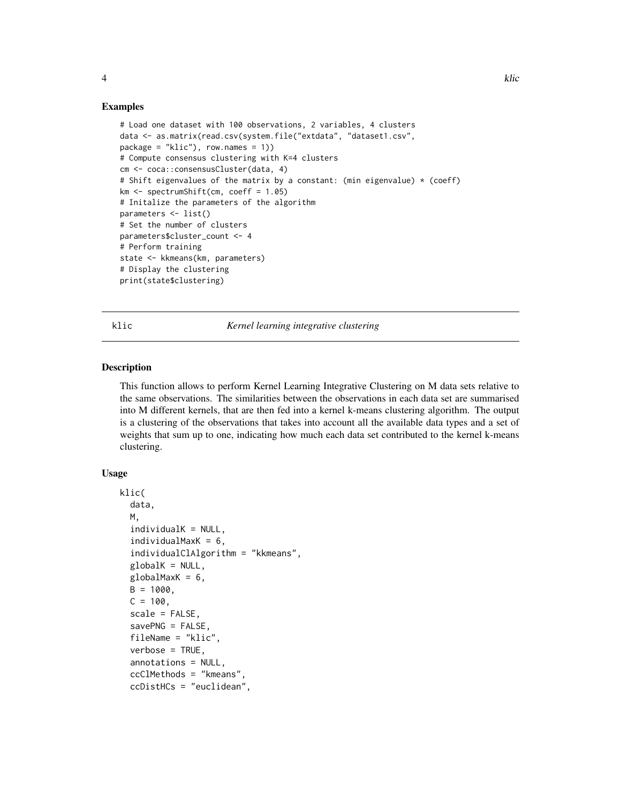#### Examples

```
# Load one dataset with 100 observations, 2 variables, 4 clusters
data <- as.matrix(read.csv(system.file("extdata", "dataset1.csv",
package = "klic"), row.names = 1))
# Compute consensus clustering with K=4 clusters
cm <- coca::consensusCluster(data, 4)
# Shift eigenvalues of the matrix by a constant: (min eigenvalue) * (coeff)
km <- spectrumShift(cm, coeff = 1.05)
# Initalize the parameters of the algorithm
parameters <- list()
# Set the number of clusters
parameters$cluster_count <- 4
# Perform training
state <- kkmeans(km, parameters)
# Display the clustering
print(state$clustering)
```
klic *Kernel learning integrative clustering*

#### Description

This function allows to perform Kernel Learning Integrative Clustering on M data sets relative to the same observations. The similarities between the observations in each data set are summarised into M different kernels, that are then fed into a kernel k-means clustering algorithm. The output is a clustering of the observations that takes into account all the available data types and a set of weights that sum up to one, indicating how much each data set contributed to the kernel k-means clustering.

#### Usage

```
klic(
  data,
  M,
  individualK = NULL,
  individualMaxK = 6,
  individualClAlgorithm = "kkmeans",
  globalK = NULL,
  globalMaxK = 6,
 B = 1000,C = 100,
  scale = FALSE,
  savePNG = FALSE,
  fileName = "klic",
  verbose = TRUE,
  annotations = NULL,
  ccClMethods = "kmeans",
  ccDistHCs = "euclidean",
```
<span id="page-3-0"></span>4 kHz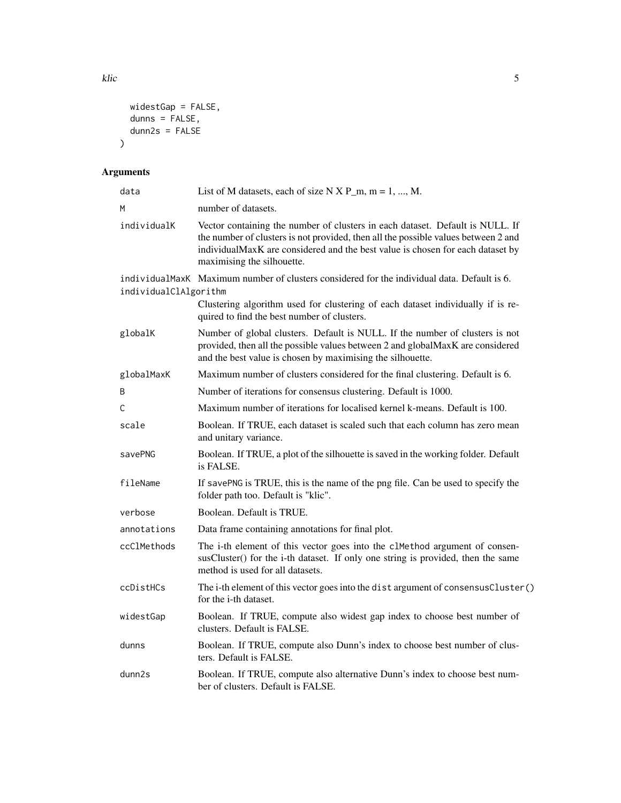```
widestGap = FALSE,
  dunns = FALSE,
  dunn2s = FALSE\mathcal{L}
```
#### Arguments

| data                  | List of M datasets, each of size N X P_m, m = 1, , M.                                                                                                                                                                                                                               |
|-----------------------|-------------------------------------------------------------------------------------------------------------------------------------------------------------------------------------------------------------------------------------------------------------------------------------|
| м                     | number of datasets.                                                                                                                                                                                                                                                                 |
| individualK           | Vector containing the number of clusters in each dataset. Default is NULL. If<br>the number of clusters is not provided, then all the possible values between 2 and<br>individualMaxK are considered and the best value is chosen for each dataset by<br>maximising the silhouette. |
| individualClAlgorithm | individualMaxK Maximum number of clusters considered for the individual data. Default is 6.                                                                                                                                                                                         |
|                       | Clustering algorithm used for clustering of each dataset individually if is re-<br>quired to find the best number of clusters.                                                                                                                                                      |
| globalK               | Number of global clusters. Default is NULL. If the number of clusters is not<br>provided, then all the possible values between 2 and globalMaxK are considered<br>and the best value is chosen by maximising the silhouette.                                                        |
| globalMaxK            | Maximum number of clusters considered for the final clustering. Default is 6.                                                                                                                                                                                                       |
| B                     | Number of iterations for consensus clustering. Default is 1000.                                                                                                                                                                                                                     |
| C                     | Maximum number of iterations for localised kernel k-means. Default is 100.                                                                                                                                                                                                          |
| scale                 | Boolean. If TRUE, each dataset is scaled such that each column has zero mean<br>and unitary variance.                                                                                                                                                                               |
| savePNG               | Boolean. If TRUE, a plot of the silhouette is saved in the working folder. Default<br>is FALSE.                                                                                                                                                                                     |
| fileName              | If savePNG is TRUE, this is the name of the png file. Can be used to specify the<br>folder path too. Default is "klic".                                                                                                                                                             |
| verbose               | Boolean. Default is TRUE.                                                                                                                                                                                                                                                           |
| annotations           | Data frame containing annotations for final plot.                                                                                                                                                                                                                                   |
| ccClMethods           | The i-th element of this vector goes into the clMethod argument of consen-<br>susCluster() for the i-th dataset. If only one string is provided, then the same<br>method is used for all datasets.                                                                                  |
| ccDistHCs             | The i-th element of this vector goes into the dist argument of consensusCluster()<br>for the <i>i</i> -th dataset.                                                                                                                                                                  |
| widestGap             | Boolean. If TRUE, compute also widest gap index to choose best number of<br>clusters. Default is FALSE.                                                                                                                                                                             |
| dunns                 | Boolean. If TRUE, compute also Dunn's index to choose best number of clus-<br>ters. Default is FALSE.                                                                                                                                                                               |
| dunn2s                | Boolean. If TRUE, compute also alternative Dunn's index to choose best num-<br>ber of clusters. Default is FALSE.                                                                                                                                                                   |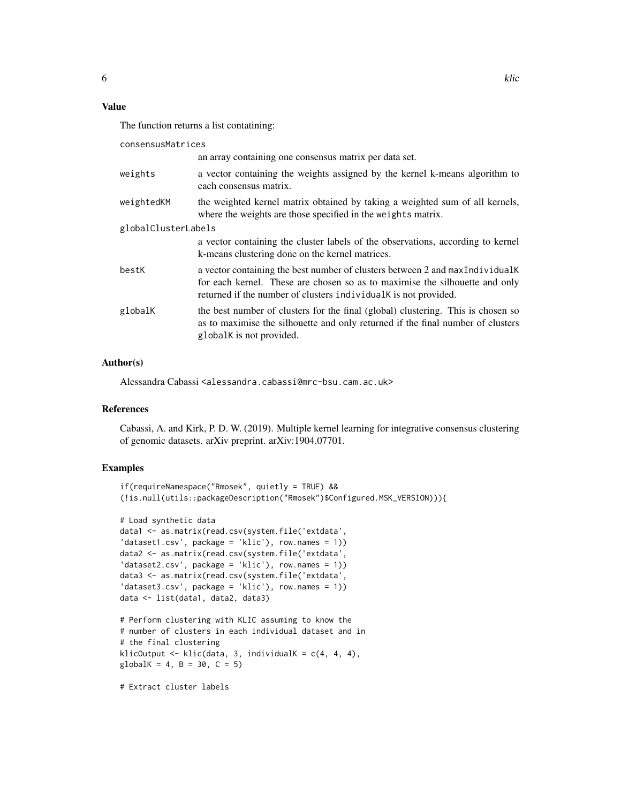#### Value

The function returns a list contatining:

consensusMatrices

|                     | an array containing one consensus matrix per data set.                                                                                                                                                                          |  |
|---------------------|---------------------------------------------------------------------------------------------------------------------------------------------------------------------------------------------------------------------------------|--|
| weights             | a vector containing the weights assigned by the kernel k-means algorithm to<br>each consensus matrix.                                                                                                                           |  |
| weightedKM          | the weighted kernel matrix obtained by taking a weighted sum of all kernels,<br>where the weights are those specified in the weights matrix.                                                                                    |  |
| globalClusterLabels |                                                                                                                                                                                                                                 |  |
|                     | a vector containing the cluster labels of the observations, according to kernel<br>k-means clustering done on the kernel matrices.                                                                                              |  |
| bestK               | a vector containing the best number of clusters between 2 and maxIndividualK<br>for each kernel. These are chosen so as to maximise the silhouette and only<br>returned if the number of clusters individual K is not provided. |  |
| globalK             | the best number of clusters for the final (global) clustering. This is chosen so<br>as to maximise the silhouette and only returned if the final number of clusters<br>global is not provided.                                  |  |

#### Author(s)

Alessandra Cabassi <alessandra.cabassi@mrc-bsu.cam.ac.uk>

#### References

Cabassi, A. and Kirk, P. D. W. (2019). Multiple kernel learning for integrative consensus clustering of genomic datasets. arXiv preprint. arXiv:1904.07701.

#### Examples

```
if(requireNamespace("Rmosek", quietly = TRUE) &&
(!is.null(utils::packageDescription("Rmosek")$Configured.MSK_VERSION))){
```

```
# Load synthetic data
data1 <- as.matrix(read.csv(system.file('extdata',
'dataset1.csv', package = 'klic'), row.names = 1))
data2 <- as.matrix(read.csv(system.file('extdata',
'dataset2.csv', package = 'klic'), row.names = 1))
data3 <- as.matrix(read.csv(system.file('extdata',
'dataset3.csv', package = 'klic'), row.names = 1))
data <- list(data1, data2, data3)
# Perform clustering with KLIC assuming to know the
# number of clusters in each individual dataset and in
# the final clustering
klicOutput \leq klic(data, 3, individualK = c(4, 4, 4),
globalK = 4, B = 30, C = 5)
```
# Extract cluster labels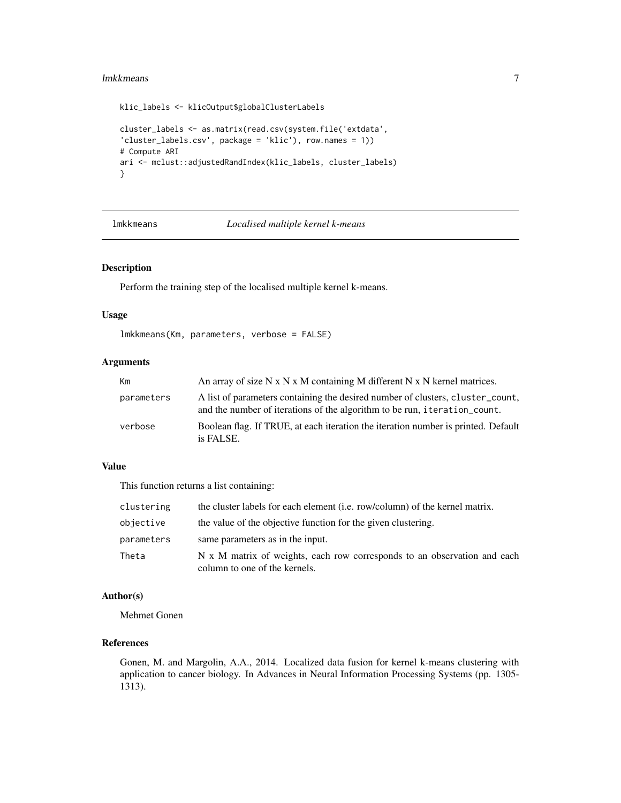#### <span id="page-6-0"></span>lmkkmeans **7**

```
klic_labels <- klicOutput$globalClusterLabels
cluster_labels <- as.matrix(read.csv(system.file('extdata',
'cluster_labels.csv', package = 'klic'), row.names = 1))
# Compute ARI
ari <- mclust::adjustedRandIndex(klic_labels, cluster_labels)
}
```
#### lmkkmeans *Localised multiple kernel k-means*

#### Description

Perform the training step of the localised multiple kernel k-means.

#### Usage

lmkkmeans(Km, parameters, verbose = FALSE)

#### Arguments

| Km         | An array of size $N \times N \times M$ containing M different $N \times N$ kernel matrices.                                                                 |
|------------|-------------------------------------------------------------------------------------------------------------------------------------------------------------|
| parameters | A list of parameters containing the desired number of clusters, cluster count,<br>and the number of iterations of the algorithm to be run, iteration_count. |
| verbose    | Boolean flag. If TRUE, at each iteration the iteration number is printed. Default<br>is FALSE.                                                              |

#### Value

This function returns a list containing:

| clustering | the cluster labels for each element (i.e. row/column) of the kernel matrix.                               |
|------------|-----------------------------------------------------------------------------------------------------------|
| objective  | the value of the objective function for the given clustering.                                             |
| parameters | same parameters as in the input.                                                                          |
| Theta      | N x M matrix of weights, each row corresponds to an observation and each<br>column to one of the kernels. |

#### Author(s)

Mehmet Gonen

#### References

Gonen, M. and Margolin, A.A., 2014. Localized data fusion for kernel k-means clustering with application to cancer biology. In Advances in Neural Information Processing Systems (pp. 1305- 1313).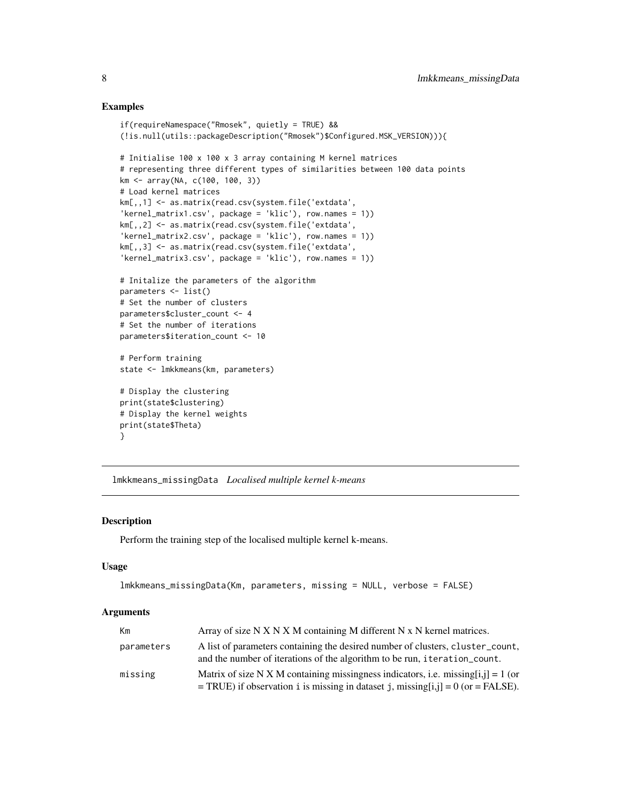#### Examples

```
if(requireNamespace("Rmosek", quietly = TRUE) &&
(!is.null(utils::packageDescription("Rmosek")$Configured.MSK_VERSION))){
# Initialise 100 x 100 x 3 array containing M kernel matrices
# representing three different types of similarities between 100 data points
km <- array(NA, c(100, 100, 3))
# Load kernel matrices
km[,,1] <- as.matrix(read.csv(system.file('extdata',
'kernel_matrix1.csv', package = 'klic'), row.names = 1))
km[,,2] <- as.matrix(read.csv(system.file('extdata',
'kernel_matrix2.csv', package = 'klic'), row.names = 1))
km[,,3] <- as.matrix(read.csv(system.file('extdata',
'kernel_matrix3.csv', package = 'klic'), row.names = 1))
# Initalize the parameters of the algorithm
parameters <- list()
# Set the number of clusters
parameters$cluster_count <- 4
# Set the number of iterations
parameters$iteration_count <- 10
# Perform training
state <- lmkkmeans(km, parameters)
# Display the clustering
print(state$clustering)
# Display the kernel weights
print(state$Theta)
}
```
lmkkmeans\_missingData *Localised multiple kernel k-means*

#### Description

Perform the training step of the localised multiple kernel k-means.

#### Usage

```
lmkkmeans_missingData(Km, parameters, missing = NULL, verbose = FALSE)
```
#### Arguments

| Km         | Array of size $N X N X M$ containing M different $N X N$ kernel matrices.                                                                                               |
|------------|-------------------------------------------------------------------------------------------------------------------------------------------------------------------------|
| parameters | A list of parameters containing the desired number of clusters, cluster count,<br>and the number of iterations of the algorithm to be run, iteration count.             |
| missing    | Matrix of size N X M containing missingness indicators, i.e. missing[i,j] = 1 (or<br>= TRUE) if observation i is missing in dataset j, missing[i,j] = $0$ (or = FALSE). |

<span id="page-7-0"></span>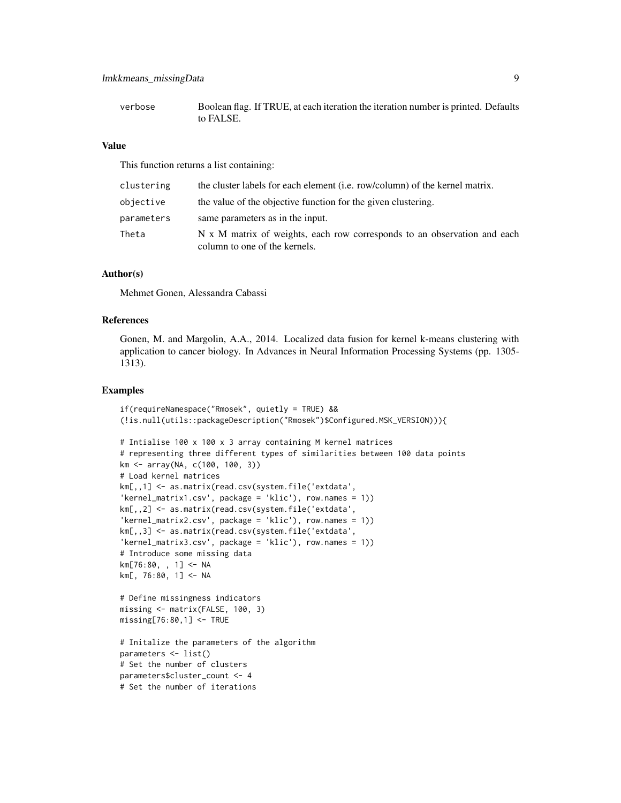#### lmkkmeans\_missingData 9

verbose Boolean flag. If TRUE, at each iteration the iteration number is printed. Defaults to FALSE.

#### Value

This function returns a list containing:

| clustering | the cluster labels for each element (i.e. row/column) of the kernel matrix.                               |
|------------|-----------------------------------------------------------------------------------------------------------|
| objective  | the value of the objective function for the given clustering.                                             |
| parameters | same parameters as in the input.                                                                          |
| Theta      | N x M matrix of weights, each row corresponds to an observation and each<br>column to one of the kernels. |

#### Author(s)

Mehmet Gonen, Alessandra Cabassi

#### References

Gonen, M. and Margolin, A.A., 2014. Localized data fusion for kernel k-means clustering with application to cancer biology. In Advances in Neural Information Processing Systems (pp. 1305- 1313).

#### Examples

```
if(requireNamespace("Rmosek", quietly = TRUE) &&
(!is.null(utils::packageDescription("Rmosek")$Configured.MSK_VERSION))){
# Intialise 100 x 100 x 3 array containing M kernel matrices
# representing three different types of similarities between 100 data points
km <- array(NA, c(100, 100, 3))
# Load kernel matrices
km[,,1] <- as.matrix(read.csv(system.file('extdata',
'kernel_matrix1.csv', package = 'klic'), row.names = 1))
km[,,2] <- as.matrix(read.csv(system.file('extdata',
'kernel_matrix2.csv', package = 'klic'), row.names = 1))
km[,,3] <- as.matrix(read.csv(system.file('extdata',
'kernel_matrix3.csv', package = 'klic'), row.names = 1))
# Introduce some missing data
km[76:80, , 1] <- NA
km[, 76:80, 1] <- NA
# Define missingness indicators
missing <- matrix(FALSE, 100, 3)
missing[76:80,1] <- TRUE
# Initalize the parameters of the algorithm
parameters <- list()
# Set the number of clusters
parameters$cluster_count <- 4
# Set the number of iterations
```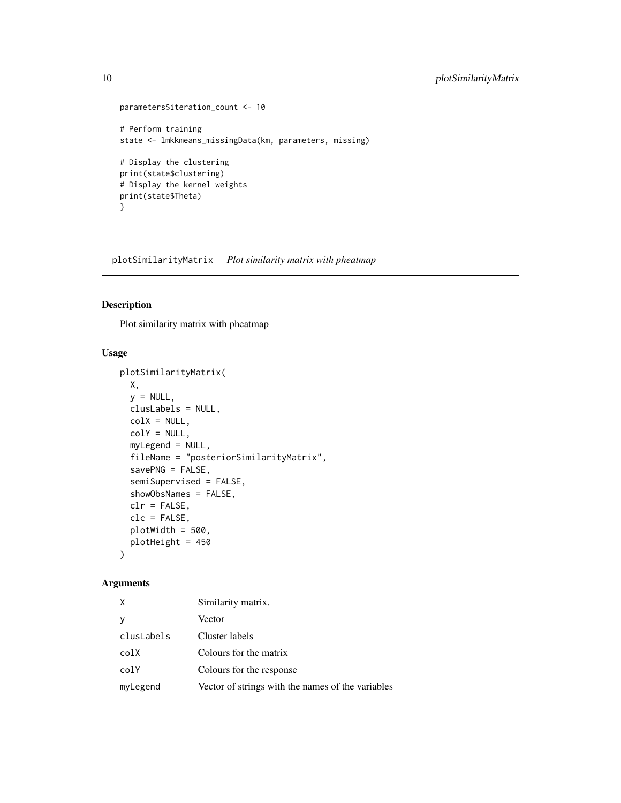```
parameters$iteration_count <- 10
# Perform training
state <- lmkkmeans_missingData(km, parameters, missing)
# Display the clustering
print(state$clustering)
# Display the kernel weights
print(state$Theta)
}
```
plotSimilarityMatrix *Plot similarity matrix with pheatmap*

#### Description

Plot similarity matrix with pheatmap

#### Usage

```
plotSimilarityMatrix(
 X,
 y = NULL,clusLabels = NULL,
 colX = NULL,colY = NULL,myLegend = NULL,
  fileName = "posteriorSimilarityMatrix",
  savePNG = FALSE,
  semiSupervised = FALSE,
  showObsNames = FALSE,
  clr = FALSE,clc = FALSE,
 plotWidth = 500,
 plotHeight = 450
\lambda
```
#### Arguments

| X          | Similarity matrix.                                |
|------------|---------------------------------------------------|
| y          | Vector                                            |
| clusLabels | Cluster labels                                    |
| colX       | Colours for the matrix                            |
| colY       | Colours for the response                          |
| myLegend   | Vector of strings with the names of the variables |

<span id="page-9-0"></span>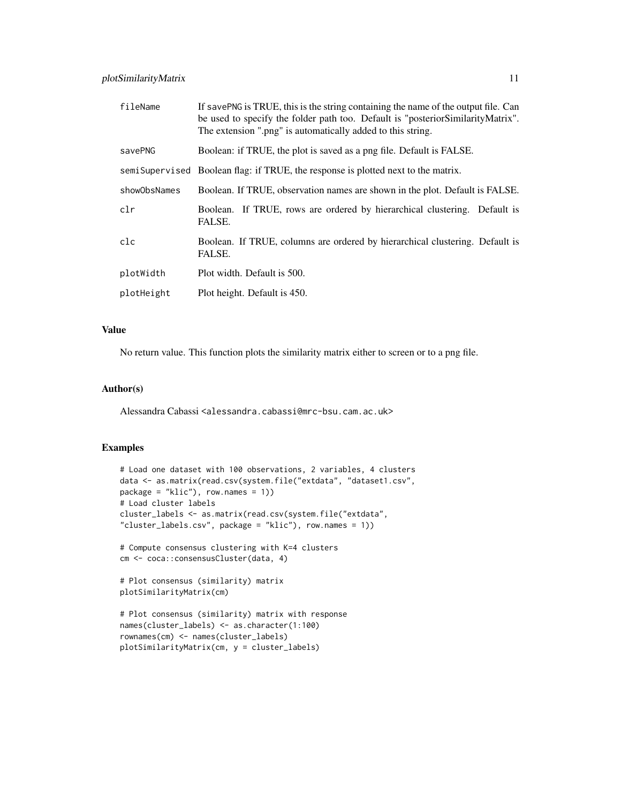| fileName     | If savePNG is TRUE, this is the string containing the name of the output file. Can<br>be used to specify the folder path too. Default is "posterior Similarity Matrix".<br>The extension ".png" is automatically added to this string. |
|--------------|----------------------------------------------------------------------------------------------------------------------------------------------------------------------------------------------------------------------------------------|
| savePNG      | Boolean: if TRUE, the plot is saved as a png file. Default is FALSE.                                                                                                                                                                   |
|              | semi Supervised Boolean flag: if TRUE, the response is plotted next to the matrix.                                                                                                                                                     |
| showObsNames | Boolean. If TRUE, observation names are shown in the plot. Default is FALSE.                                                                                                                                                           |
| clr          | If TRUE, rows are ordered by hierarchical clustering. Default is<br>Boolean.<br>FALSE.                                                                                                                                                 |
| clc          | Boolean. If TRUE, columns are ordered by hierarchical clustering. Default is<br>FALSE.                                                                                                                                                 |
| plotWidth    | Plot width. Default is 500.                                                                                                                                                                                                            |
| plotHeight   | Plot height. Default is 450.                                                                                                                                                                                                           |

#### Value

No return value. This function plots the similarity matrix either to screen or to a png file.

#### Author(s)

Alessandra Cabassi <alessandra.cabassi@mrc-bsu.cam.ac.uk>

#### Examples

```
# Load one dataset with 100 observations, 2 variables, 4 clusters
data <- as.matrix(read.csv(system.file("extdata", "dataset1.csv",
package = "klic"), row.names = 1))
# Load cluster labels
cluster_labels <- as.matrix(read.csv(system.file("extdata",
"cluster_labels.csv", package = "klic"), row.names = 1))
# Compute consensus clustering with K=4 clusters
cm <- coca::consensusCluster(data, 4)
```

```
# Plot consensus (similarity) matrix
plotSimilarityMatrix(cm)
```

```
# Plot consensus (similarity) matrix with response
names(cluster_labels) <- as.character(1:100)
rownames(cm) <- names(cluster_labels)
plotSimilarityMatrix(cm, y = cluster_labels)
```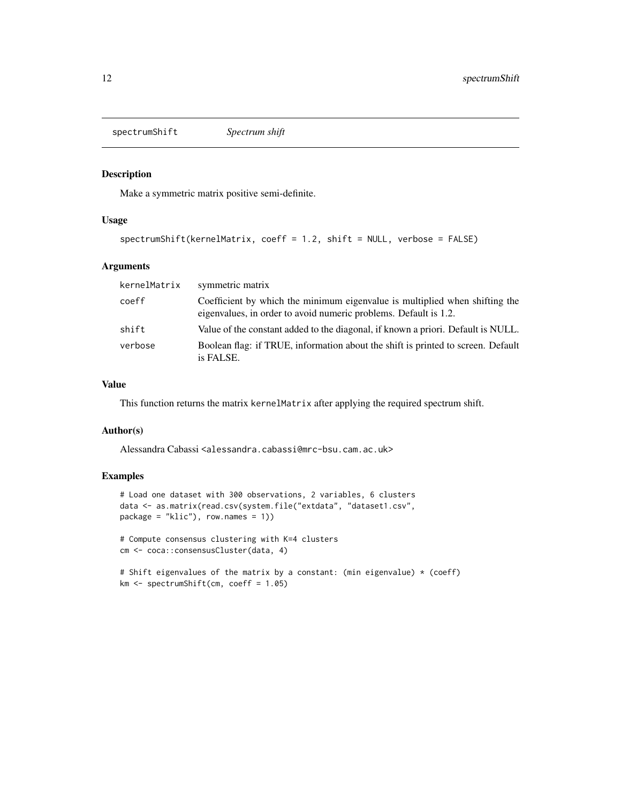<span id="page-11-0"></span>spectrumShift *Spectrum shift*

#### Description

Make a symmetric matrix positive semi-definite.

#### Usage

```
spectrumShift(kernelMatrix, coeff = 1.2, shift = NULL, verbose = FALSE)
```
#### Arguments

| kernelMatrix | symmetric matrix                                                                                                                                |
|--------------|-------------------------------------------------------------------------------------------------------------------------------------------------|
| coeff        | Coefficient by which the minimum eigenvalue is multiplied when shifting the<br>eigenvalues, in order to avoid numeric problems. Default is 1.2. |
| shift        | Value of the constant added to the diagonal, if known a priori. Default is NULL.                                                                |
| verbose      | Boolean flag: if TRUE, information about the shift is printed to screen. Default<br>is FALSE.                                                   |

#### Value

This function returns the matrix kernelMatrix after applying the required spectrum shift.

#### Author(s)

Alessandra Cabassi <alessandra.cabassi@mrc-bsu.cam.ac.uk>

#### Examples

```
# Load one dataset with 300 observations, 2 variables, 6 clusters
data <- as.matrix(read.csv(system.file("extdata", "dataset1.csv",
package = "klic"), row.names = 1))
# Compute consensus clustering with K=4 clusters
cm <- coca::consensusCluster(data, 4)
```

```
# Shift eigenvalues of the matrix by a constant: (min eigenvalue) * (coeff)
km <- spectrumShift(cm, coeff = 1.05)
```